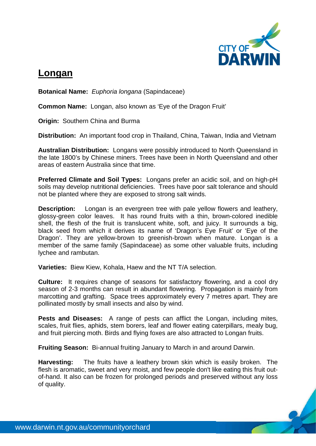

## **Longan**

**Botanical Name:** *Euphoria longana* (Sapindaceae)

**Common Name:** Longan, also known as 'Eye of the Dragon Fruit'

**Origin:** Southern China and Burma

**Distribution:** An important food crop in Thailand, China, Taiwan, India and Vietnam

**Australian Distribution:** Longans were possibly introduced to North Queensland in the late 1800's by Chinese miners. Trees have been in North Queensland and other areas of eastern Australia since that time.

**Preferred Climate and Soil Types:** Longans prefer an acidic soil, and on high-pH soils may develop nutritional deficiencies. Trees have poor salt tolerance and should not be planted where they are exposed to strong salt winds.

**Description:** Longan is an evergreen tree with pale yellow flowers and leathery, glossy-green color leaves. It has round fruits with a thin, brown-colored inedible shell, the flesh of the fruit is translucent white, soft, and juicy. It surrounds a big, black seed from which it derives its name of 'Dragon's Eye Fruit' or 'Eye of the Dragon'. They are yellow-brown to greenish-brown when mature. Longan is a member of the same family (Sapindaceae) as some other valuable fruits, including lychee and rambutan.

**Varieties:** Biew Kiew, Kohala, Haew and the NT T/A selection.

**Culture:** It requires change of seasons for satisfactory flowering, and a cool dry season of 2-3 months can result in abundant flowering. Propagation is mainly from marcotting and grafting. Space trees approximately every 7 metres apart. They are pollinated mostly by small insects and also by wind.

**Pests and Diseases:** A range of pests can afflict the Longan, including mites, scales, fruit flies, aphids, stem borers, leaf and flower eating caterpillars, mealy bug, and fruit piercing moth. Birds and flying foxes are also attracted to Longan fruits.

**Fruiting Season:** Bi-annual fruiting January to March in and around Darwin.

**Harvesting:** The fruits have a leathery brown skin which is easily broken. The flesh is aromatic, sweet and very moist, and few people don't like eating this fruit outof-hand. It also can be frozen for prolonged periods and preserved without any loss of quality.